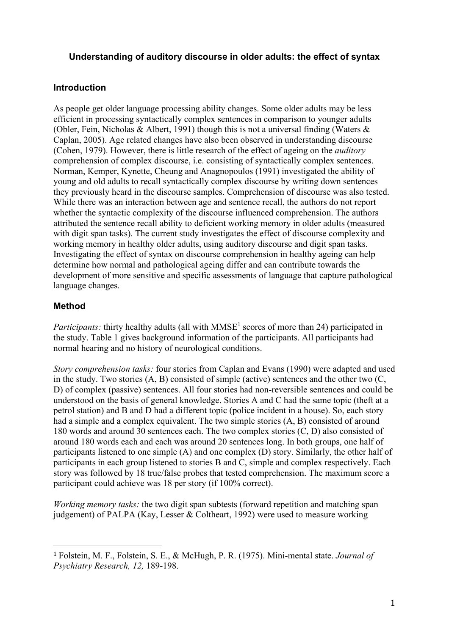## **Understanding of auditory discourse in older adults: the effect of syntax**

#### **Introduction**

As people get older language processing ability changes. Some older adults may be less efficient in processing syntactically complex sentences in comparison to younger adults (Obler, Fein, Nicholas & Albert, 1991) though this is not a universal finding (Waters  $\&$ Caplan, 2005). Age related changes have also been observed in understanding discourse (Cohen, 1979). However, there is little research of the effect of ageing on the *auditory* comprehension of complex discourse, i.e. consisting of syntactically complex sentences. Norman, Kemper, Kynette, Cheung and Anagnopoulos (1991) investigated the ability of young and old adults to recall syntactically complex discourse by writing down sentences they previously heard in the discourse samples. Comprehension of discourse was also tested. While there was an interaction between age and sentence recall, the authors do not report whether the syntactic complexity of the discourse influenced comprehension. The authors attributed the sentence recall ability to deficient working memory in older adults (measured with digit span tasks). The current study investigates the effect of discourse complexity and working memory in healthy older adults, using auditory discourse and digit span tasks. Investigating the effect of syntax on discourse comprehension in healthy ageing can help determine how normal and pathological ageing differ and can contribute towards the development of more sensitive and specific assessments of language that capture pathological language changes.

## **Method**

!!!!!!!!!!!!!!!!!!!!!!!!!!!!!!!!!!!!!!!!!!!!!!!!!!!!!!!

*Participants:* thirty healthy adults (all with  $MMSE<sup>1</sup>$  scores of more than 24) participated in the study. Table 1 gives background information of the participants. All participants had normal hearing and no history of neurological conditions.

*Story comprehension tasks:* four stories from Caplan and Evans (1990) were adapted and used in the study. Two stories (A, B) consisted of simple (active) sentences and the other two (C, D) of complex (passive) sentences. All four stories had non-reversible sentences and could be understood on the basis of general knowledge. Stories A and C had the same topic (theft at a petrol station) and B and D had a different topic (police incident in a house). So, each story had a simple and a complex equivalent. The two simple stories (A, B) consisted of around 180 words and around 30 sentences each. The two complex stories (C, D) also consisted of around 180 words each and each was around 20 sentences long. In both groups, one half of participants listened to one simple (A) and one complex (D) story. Similarly, the other half of participants in each group listened to stories B and C, simple and complex respectively. Each story was followed by 18 true/false probes that tested comprehension. The maximum score a participant could achieve was 18 per story (if 100% correct).

*Working memory tasks:* the two digit span subtests (forward repetition and matching span judgement) of PALPA (Kay, Lesser & Coltheart, 1992) were used to measure working

<sup>1</sup> Folstein, M. F., Folstein, S. E., & McHugh, P. R. (1975). Mini-mental state. *Journal of Psychiatry Research, 12,* 189-198.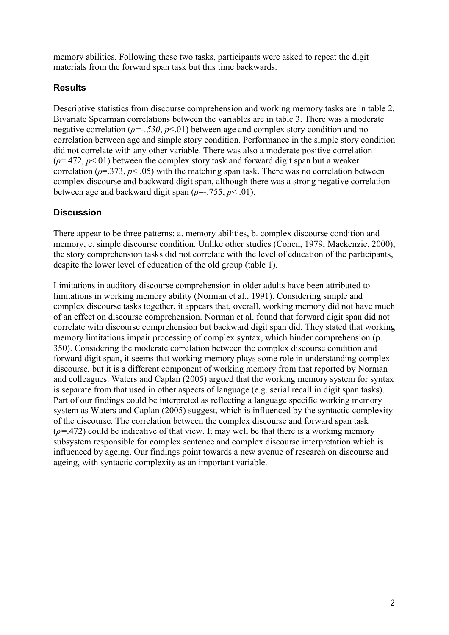memory abilities. Following these two tasks, participants were asked to repeat the digit materials from the forward span task but this time backwards.

# **Results**

Descriptive statistics from discourse comprehension and working memory tasks are in table 2. Bivariate Spearman correlations between the variables are in table 3. There was a moderate negative correlation (*ρ=-.530*, *p*<.01) between age and complex story condition and no correlation between age and simple story condition. Performance in the simple story condition did not correlate with any other variable. There was also a moderate positive correlation  $(\rho = 472, p < 01)$  between the complex story task and forward digit span but a weaker correlation ( $\rho$ =.373,  $p$ < .05) with the matching span task. There was no correlation between complex discourse and backward digit span, although there was a strong negative correlation between age and backward digit span (*ρ*=-.755, *p*< .01).

# **Discussion**

There appear to be three patterns: a. memory abilities, b. complex discourse condition and memory, c. simple discourse condition. Unlike other studies (Cohen, 1979; Mackenzie, 2000), the story comprehension tasks did not correlate with the level of education of the participants, despite the lower level of education of the old group (table 1).

Limitations in auditory discourse comprehension in older adults have been attributed to limitations in working memory ability (Norman et al., 1991). Considering simple and complex discourse tasks together, it appears that, overall, working memory did not have much of an effect on discourse comprehension. Norman et al. found that forward digit span did not correlate with discourse comprehension but backward digit span did. They stated that working memory limitations impair processing of complex syntax, which hinder comprehension (p. 350). Considering the moderate correlation between the complex discourse condition and forward digit span, it seems that working memory plays some role in understanding complex discourse, but it is a different component of working memory from that reported by Norman and colleagues. Waters and Caplan (2005) argued that the working memory system for syntax is separate from that used in other aspects of language (e.g. serial recall in digit span tasks). Part of our findings could be interpreted as reflecting a language specific working memory system as Waters and Caplan (2005) suggest, which is influenced by the syntactic complexity of the discourse. The correlation between the complex discourse and forward span task  $(\rho = 0.472)$  could be indicative of that view. It may well be that there is a working memory subsystem responsible for complex sentence and complex discourse interpretation which is influenced by ageing. Our findings point towards a new avenue of research on discourse and ageing, with syntactic complexity as an important variable.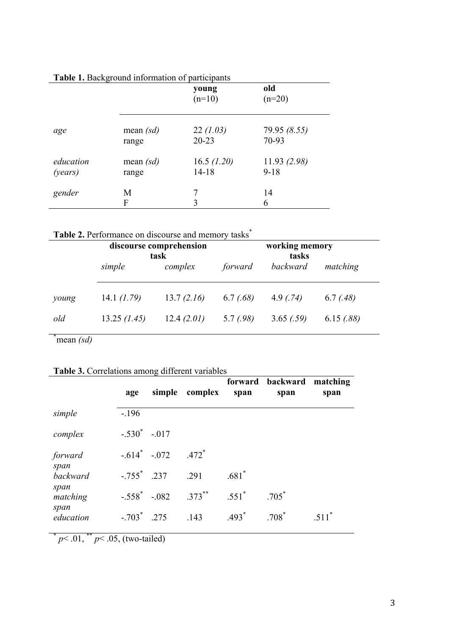|           | ▽           | young<br>$(n=10)$ | old<br>$(n=20)$ |
|-----------|-------------|-------------------|-----------------|
| age       | mean $(sd)$ | 22(1.03)          | 79.95 (8.55)    |
|           | range       | $20 - 23$         | 70-93           |
| education | mean $(sd)$ | 16.5 $(1.20)$     | 11.93(2.98)     |
| (years)   | range       | $14 - 18$         | $9 - 18$        |
| gender    | M<br>F      | 3                 | 14<br>6         |

## **Table 1.** Background information of participants

|  | Table 2. Performance on discourse and memory tasks <sup>*</sup> |  |
|--|-----------------------------------------------------------------|--|
|  |                                                                 |  |

|       |               | discourse comprehension<br>task | working memory<br>tasks |           |           |  |
|-------|---------------|---------------------------------|-------------------------|-----------|-----------|--|
|       | simple        | complex                         | forward                 | backward  | matching  |  |
| young | 14.1 $(1.79)$ | 13.7(2.16)                      | 6.7(.68)                | 4.9(74)   | 6.7(0.48) |  |
| old   | 13.25 (1.45)  | 12.4(2.01)                      | 5.7(0.98)               | 3.65(.59) | 6.15(.88) |  |

\* mean *(sd)*

# **Table 3.** Correlations among different variables

|                   | age              |      | simple complex | span     | forward backward<br>span | matching<br>span |
|-------------------|------------------|------|----------------|----------|--------------------------|------------------|
| simple            | $-196$           |      |                |          |                          |                  |
| complex           | $-.530^* -.017$  |      |                |          |                          |                  |
| forward<br>span   | $-.614$ $-.072$  |      | $.472*$        |          |                          |                  |
| backward          | $-.755$ $.237$   |      | .291           | $.681*$  |                          |                  |
| span<br>matching  | $-.558^* - .082$ |      | $.373***$      | $.551^*$ | $.705*$                  |                  |
| span<br>education | $-.703*$         | .275 | .143           | $.493*$  | $.708*$                  | $511^*$          |

 $\bar{p}$  × .01, \*\*  $p$  < .05, (two-tailed)